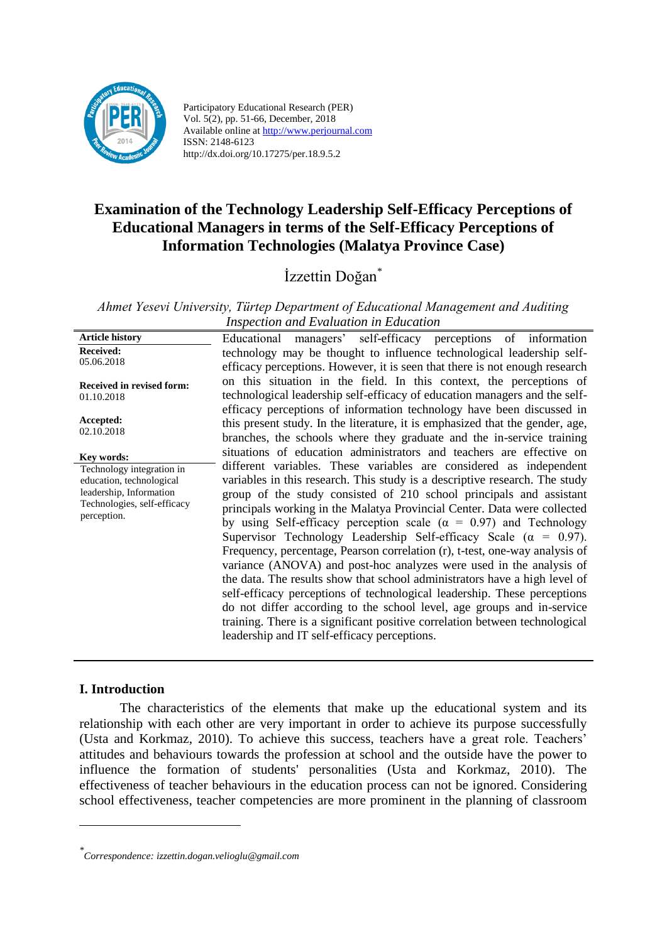

Participatory Educational Research (PER) Vol. 5(2), pp. 51-66, December, 2018 Available online at http://www.perjournal.com ISSN: 2148-6123 http://dx.doi.org/10.17275/per.18.9.5.2

# **Examination of the Technology Leadership Self-Efficacy Perceptions of Educational Managers in terms of the Self-Efficacy Perceptions of Information Technologies (Malatya Province Case)**

# İzzettin Doğan\*

*Ahmet Yesevi University, Türtep Department of Educational Management and Auditing Inspection and Evaluation in Education*

| <b>Article history</b>                                                                                                         | managers' self-efficacy perceptions of information<br>Educational                                                                                                                                                                                                                                                                                                                                                                                                                                                                                                                                                                                                                                                                                                                                                                                                                                                                                                                        |
|--------------------------------------------------------------------------------------------------------------------------------|------------------------------------------------------------------------------------------------------------------------------------------------------------------------------------------------------------------------------------------------------------------------------------------------------------------------------------------------------------------------------------------------------------------------------------------------------------------------------------------------------------------------------------------------------------------------------------------------------------------------------------------------------------------------------------------------------------------------------------------------------------------------------------------------------------------------------------------------------------------------------------------------------------------------------------------------------------------------------------------|
| <b>Received:</b><br>05.06.2018                                                                                                 | technology may be thought to influence technological leadership self-<br>efficacy perceptions. However, it is seen that there is not enough research                                                                                                                                                                                                                                                                                                                                                                                                                                                                                                                                                                                                                                                                                                                                                                                                                                     |
| Received in revised form:<br>01.10.2018                                                                                        | on this situation in the field. In this context, the perceptions of<br>technological leadership self-efficacy of education managers and the self-                                                                                                                                                                                                                                                                                                                                                                                                                                                                                                                                                                                                                                                                                                                                                                                                                                        |
| Accepted:<br>02.10.2018                                                                                                        | efficacy perceptions of information technology have been discussed in<br>this present study. In the literature, it is emphasized that the gender, age,<br>branches, the schools where they graduate and the in-service training                                                                                                                                                                                                                                                                                                                                                                                                                                                                                                                                                                                                                                                                                                                                                          |
| Key words:                                                                                                                     | situations of education administrators and teachers are effective on                                                                                                                                                                                                                                                                                                                                                                                                                                                                                                                                                                                                                                                                                                                                                                                                                                                                                                                     |
| Technology integration in<br>education, technological<br>leadership, Information<br>Technologies, self-efficacy<br>perception. | different variables. These variables are considered as independent<br>variables in this research. This study is a descriptive research. The study<br>group of the study consisted of 210 school principals and assistant<br>principals working in the Malatya Provincial Center. Data were collected<br>by using Self-efficacy perception scale ( $\alpha = 0.97$ ) and Technology<br>Supervisor Technology Leadership Self-efficacy Scale ( $\alpha = 0.97$ ).<br>Frequency, percentage, Pearson correlation (r), t-test, one-way analysis of<br>variance (ANOVA) and post-hoc analyzes were used in the analysis of<br>the data. The results show that school administrators have a high level of<br>self-efficacy perceptions of technological leadership. These perceptions<br>do not differ according to the school level, age groups and in-service<br>training. There is a significant positive correlation between technological<br>leadership and IT self-efficacy perceptions. |

## **I. Introduction**

<u>.</u>

The characteristics of the elements that make up the educational system and its relationship with each other are very important in order to achieve its purpose successfully (Usta and Korkmaz, 2010). To achieve this success, teachers have a great role. Teachers' attitudes and behaviours towards the profession at school and the outside have the power to influence the formation of students' personalities (Usta and Korkmaz, 2010). The effectiveness of teacher behaviours in the education process can not be ignored. Considering school effectiveness, teacher competencies are more prominent in the planning of classroom

*<sup>\*</sup> Correspondence: izzettin.dogan.velioglu@gmail.com*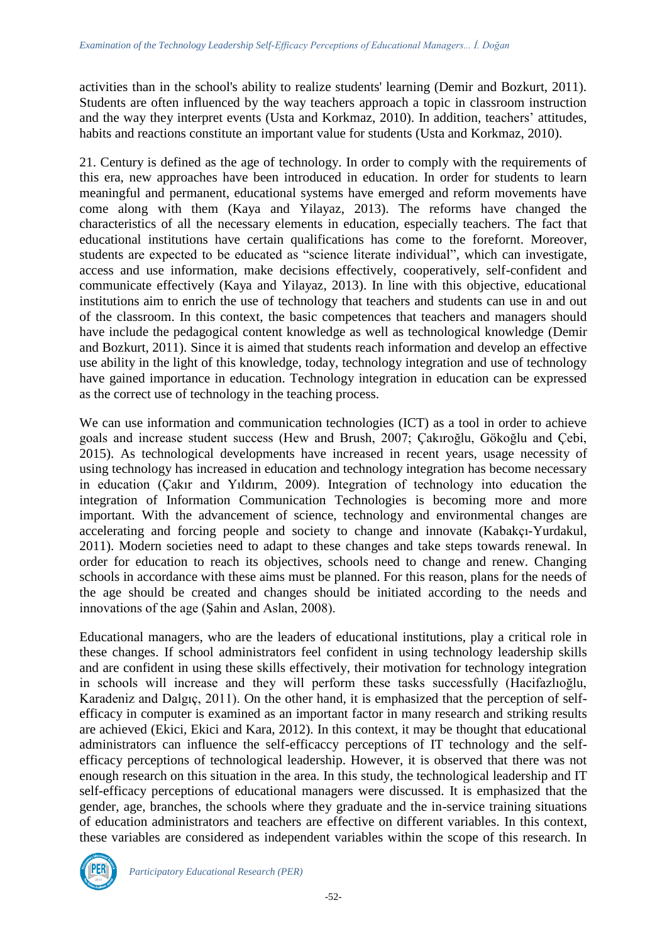activities than in the school's ability to realize students' learning (Demir and Bozkurt, 2011). Students are often influenced by the way teachers approach a topic in classroom instruction and the way they interpret events (Usta and Korkmaz, 2010). In addition, teachers' attitudes, habits and reactions constitute an important value for students (Usta and Korkmaz, 2010).

21. Century is defined as the age of technology. In order to comply with the requirements of this era, new approaches have been introduced in education. In order for students to learn meaningful and permanent, educational systems have emerged and reform movements have come along with them (Kaya and Yilayaz, 2013). The reforms have changed the characteristics of all the necessary elements in education, especially teachers. The fact that educational institutions have certain qualifications has come to the forefornt. Moreover, students are expected to be educated as "science literate individual", which can investigate, access and use information, make decisions effectively, cooperatively, self-confident and communicate effectively (Kaya and Yilayaz, 2013). In line with this objective, educational institutions aim to enrich the use of technology that teachers and students can use in and out of the classroom. In this context, the basic competences that teachers and managers should have include the pedagogical content knowledge as well as technological knowledge (Demir and Bozkurt, 2011). Since it is aimed that students reach information and develop an effective use ability in the light of this knowledge, today, technology integration and use of technology have gained importance in education. Technology integration in education can be expressed as the correct use of technology in the teaching process.

We can use information and communication technologies (ICT) as a tool in order to achieve goals and increase student success (Hew and Brush, 2007; Çakıroğlu, Gökoğlu and Çebi, 2015). As technological developments have increased in recent years, usage necessity of using technology has increased in education and technology integration has become necessary in education (Çakır and Yıldırım, 2009). Integration of technology into education the integration of Information Communication Technologies is becoming more and more important. With the advancement of science, technology and environmental changes are accelerating and forcing people and society to change and innovate (Kabakçı-Yurdakul, 2011). Modern societies need to adapt to these changes and take steps towards renewal. In order for education to reach its objectives, schools need to change and renew. Changing schools in accordance with these aims must be planned. For this reason, plans for the needs of the age should be created and changes should be initiated according to the needs and innovations of the age (Şahin and Aslan, 2008).

Educational managers, who are the leaders of educational institutions, play a critical role in these changes. If school administrators feel confident in using technology leadership skills and are confident in using these skills effectively, their motivation for technology integration in schools will increase and they will perform these tasks successfully (Hacifazlıoğlu, Karadeniz and Dalgıç, 2011). On the other hand, it is emphasized that the perception of selfefficacy in computer is examined as an important factor in many research and striking results are achieved (Ekici, Ekici and Kara, 2012). In this context, it may be thought that educational administrators can influence the self-efficaccy perceptions of IT technology and the selfefficacy perceptions of technological leadership. However, it is observed that there was not enough research on this situation in the area. In this study, the technological leadership and IT self-efficacy perceptions of educational managers were discussed. It is emphasized that the gender, age, branches, the schools where they graduate and the in-service training situations of education administrators and teachers are effective on different variables. In this context, these variables are considered as independent variables within the scope of this research. In

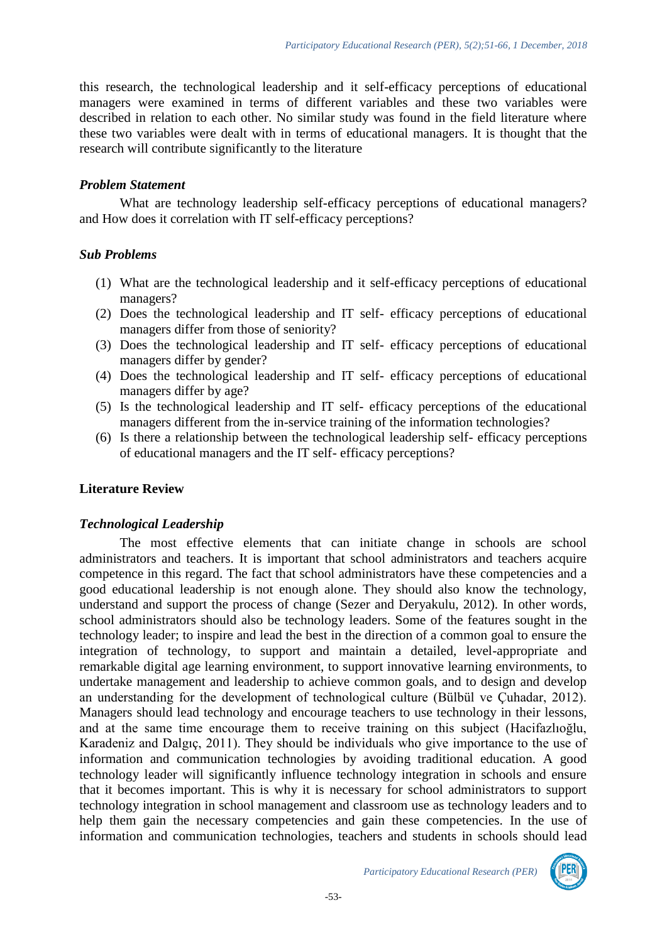this research, the technological leadership and it self-efficacy perceptions of educational managers were examined in terms of different variables and these two variables were described in relation to each other. No similar study was found in the field literature where these two variables were dealt with in terms of educational managers. It is thought that the research will contribute significantly to the literature

#### *Problem Statement*

What are technology leadership self-efficacy perceptions of educational managers? and How does it correlation with IT self-efficacy perceptions?

## *Sub Problems*

- (1) What are the technological leadership and it self-efficacy perceptions of educational managers?
- (2) Does the technological leadership and IT self- efficacy perceptions of educational managers differ from those of seniority?
- (3) Does the technological leadership and IT self- efficacy perceptions of educational managers differ by gender?
- (4) Does the technological leadership and IT self- efficacy perceptions of educational managers differ by age?
- (5) Is the technological leadership and IT self- efficacy perceptions of the educational managers different from the in-service training of the information technologies?
- (6) Is there a relationship between the technological leadership self- efficacy perceptions of educational managers and the IT self- efficacy perceptions?

## **Literature Review**

## *Technological Leadership*

The most effective elements that can initiate change in schools are school administrators and teachers. It is important that school administrators and teachers acquire competence in this regard. The fact that school administrators have these competencies and a good educational leadership is not enough alone. They should also know the technology, understand and support the process of change (Sezer and Deryakulu, 2012). In other words, school administrators should also be technology leaders. Some of the features sought in the technology leader; to inspire and lead the best in the direction of a common goal to ensure the integration of technology, to support and maintain a detailed, level-appropriate and remarkable digital age learning environment, to support innovative learning environments, to undertake management and leadership to achieve common goals, and to design and develop an understanding for the development of technological culture (Bülbül ve Çuhadar, 2012). Managers should lead technology and encourage teachers to use technology in their lessons, and at the same time encourage them to receive training on this subject (Hacifazlıoğlu, Karadeniz and Dalgıç, 2011). They should be individuals who give importance to the use of information and communication technologies by avoiding traditional education. A good technology leader will significantly influence technology integration in schools and ensure that it becomes important. This is why it is necessary for school administrators to support technology integration in school management and classroom use as technology leaders and to help them gain the necessary competencies and gain these competencies. In the use of information and communication technologies, teachers and students in schools should lead

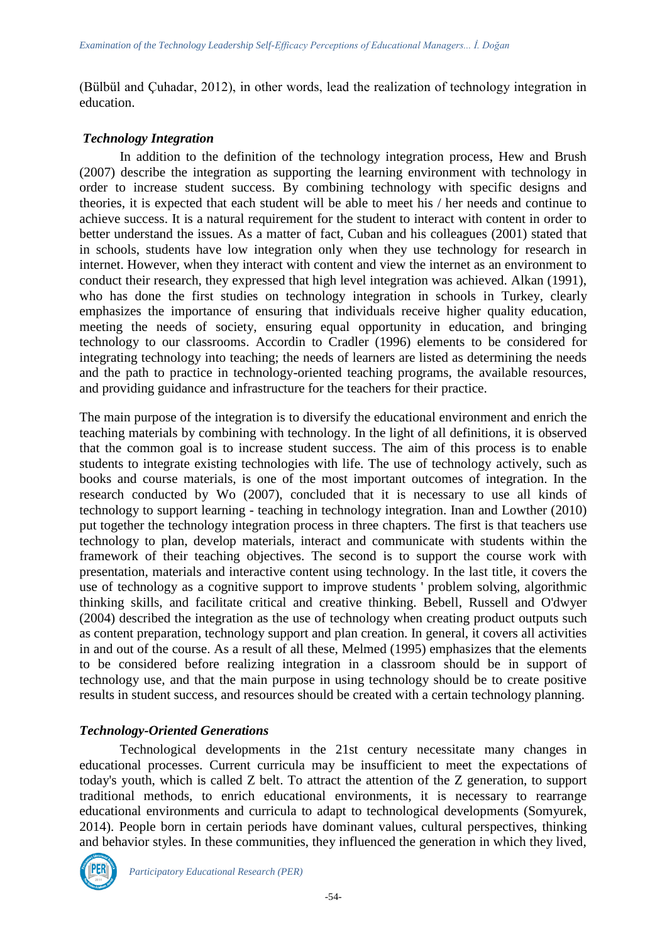(Bülbül and Çuhadar, 2012), in other words, lead the realization of technology integration in education.

#### *Technology Integration*

In addition to the definition of the technology integration process, Hew and Brush (2007) describe the integration as supporting the learning environment with technology in order to increase student success. By combining technology with specific designs and theories, it is expected that each student will be able to meet his / her needs and continue to achieve success. It is a natural requirement for the student to interact with content in order to better understand the issues. As a matter of fact, Cuban and his colleagues (2001) stated that in schools, students have low integration only when they use technology for research in internet. However, when they interact with content and view the internet as an environment to conduct their research, they expressed that high level integration was achieved. Alkan (1991), who has done the first studies on technology integration in schools in Turkey, clearly emphasizes the importance of ensuring that individuals receive higher quality education, meeting the needs of society, ensuring equal opportunity in education, and bringing technology to our classrooms. Accordin to Cradler (1996) elements to be considered for integrating technology into teaching; the needs of learners are listed as determining the needs and the path to practice in technology-oriented teaching programs, the available resources, and providing guidance and infrastructure for the teachers for their practice.

The main purpose of the integration is to diversify the educational environment and enrich the teaching materials by combining with technology. In the light of all definitions, it is observed that the common goal is to increase student success. The aim of this process is to enable students to integrate existing technologies with life. The use of technology actively, such as books and course materials, is one of the most important outcomes of integration. In the research conducted by Wo (2007), concluded that it is necessary to use all kinds of technology to support learning - teaching in technology integration. Inan and Lowther (2010) put together the technology integration process in three chapters. The first is that teachers use technology to plan, develop materials, interact and communicate with students within the framework of their teaching objectives. The second is to support the course work with presentation, materials and interactive content using technology. In the last title, it covers the use of technology as a cognitive support to improve students ' problem solving, algorithmic thinking skills, and facilitate critical and creative thinking. Bebell, Russell and O'dwyer (2004) described the integration as the use of technology when creating product outputs such as content preparation, technology support and plan creation. In general, it covers all activities in and out of the course. As a result of all these, Melmed (1995) emphasizes that the elements to be considered before realizing integration in a classroom should be in support of technology use, and that the main purpose in using technology should be to create positive results in student success, and resources should be created with a certain technology planning.

## *Technology-Oriented Generations*

Technological developments in the 21st century necessitate many changes in educational processes. Current curricula may be insufficient to meet the expectations of today's youth, which is called Z belt. To attract the attention of the Z generation, to support traditional methods, to enrich educational environments, it is necessary to rearrange educational environments and curricula to adapt to technological developments (Somyurek, 2014). People born in certain periods have dominant values, cultural perspectives, thinking and behavior styles. In these communities, they influenced the generation in which they lived,

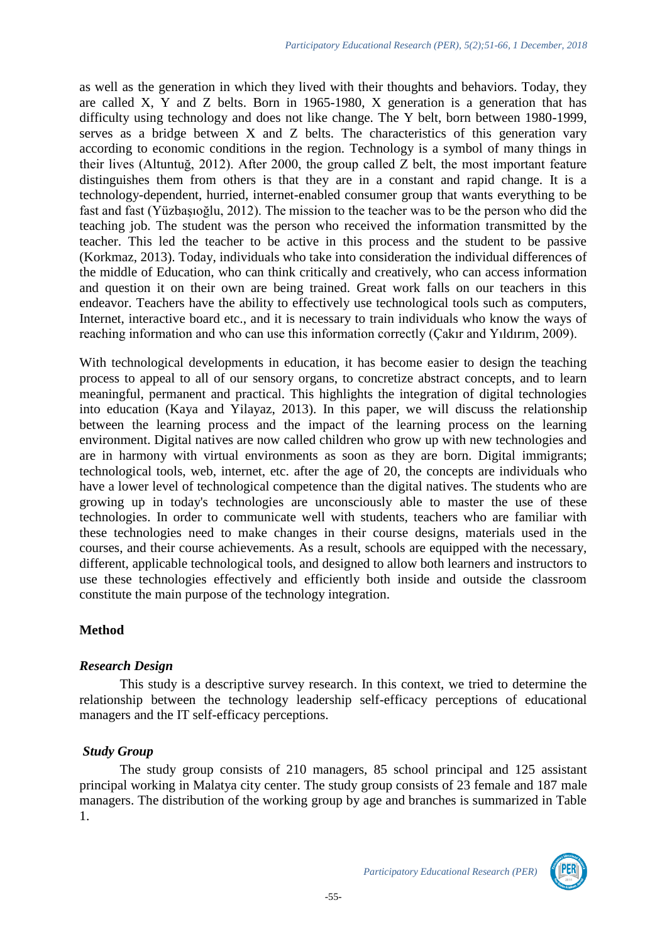as well as the generation in which they lived with their thoughts and behaviors. Today, they are called X, Y and Z belts. Born in 1965-1980, X generation is a generation that has difficulty using technology and does not like change. The Y belt, born between 1980-1999, serves as a bridge between X and Z belts. The characteristics of this generation vary according to economic conditions in the region. Technology is a symbol of many things in their lives (Altuntuğ, 2012). After 2000, the group called Z belt, the most important feature distinguishes them from others is that they are in a constant and rapid change. It is a technology-dependent, hurried, internet-enabled consumer group that wants everything to be fast and fast (Yüzbaşıoğlu, 2012). The mission to the teacher was to be the person who did the teaching job. The student was the person who received the information transmitted by the teacher. This led the teacher to be active in this process and the student to be passive (Korkmaz, 2013). Today, individuals who take into consideration the individual differences of the middle of Education, who can think critically and creatively, who can access information and question it on their own are being trained. Great work falls on our teachers in this endeavor. Teachers have the ability to effectively use technological tools such as computers, Internet, interactive board etc., and it is necessary to train individuals who know the ways of reaching information and who can use this information correctly (Çakır and Yıldırım, 2009).

With technological developments in education, it has become easier to design the teaching process to appeal to all of our sensory organs, to concretize abstract concepts, and to learn meaningful, permanent and practical. This highlights the integration of digital technologies into education (Kaya and Yilayaz, 2013). In this paper, we will discuss the relationship between the learning process and the impact of the learning process on the learning environment. Digital natives are now called children who grow up with new technologies and are in harmony with virtual environments as soon as they are born. Digital immigrants; technological tools, web, internet, etc. after the age of 20, the concepts are individuals who have a lower level of technological competence than the digital natives. The students who are growing up in today's technologies are unconsciously able to master the use of these technologies. In order to communicate well with students, teachers who are familiar with these technologies need to make changes in their course designs, materials used in the courses, and their course achievements. As a result, schools are equipped with the necessary, different, applicable technological tools, and designed to allow both learners and instructors to use these technologies effectively and efficiently both inside and outside the classroom constitute the main purpose of the technology integration.

## **Method**

## *Research Design*

This study is a descriptive survey research. In this context, we tried to determine the relationship between the technology leadership self-efficacy perceptions of educational managers and the IT self-efficacy perceptions.

#### *Study Group*

The study group consists of 210 managers, 85 school principal and 125 assistant principal working in Malatya city center. The study group consists of 23 female and 187 male managers. The distribution of the working group by age and branches is summarized in Table 1.

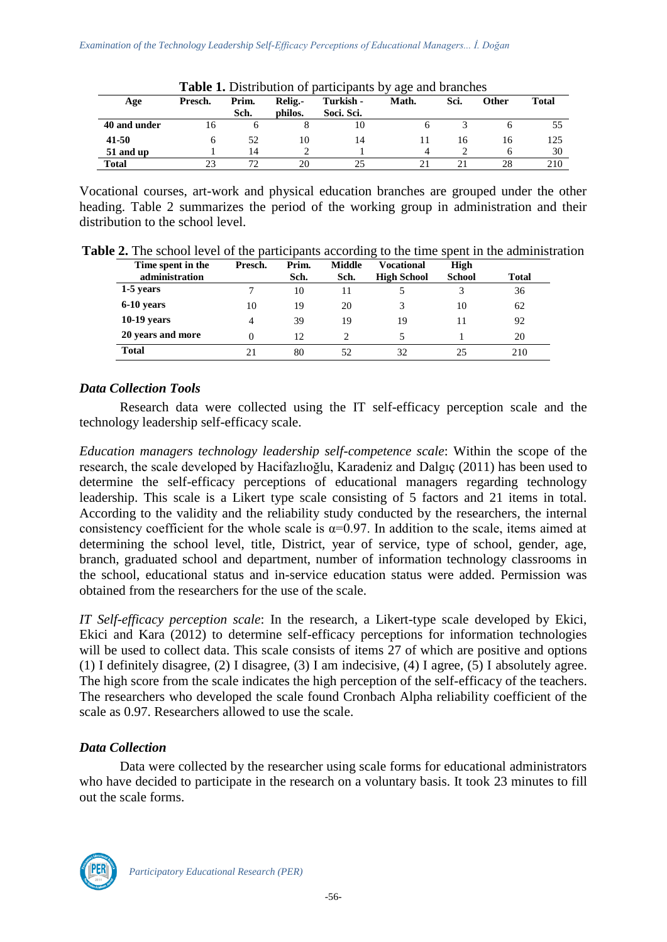| Age          | Presch. | Prim.<br>Sch. | Relig.<br>philos. | Turkish -<br>Soci. Sci. | $\overline{\phantom{0}}$<br>Math. | Sci. | <b>Other</b> | <b>Total</b> |
|--------------|---------|---------------|-------------------|-------------------------|-----------------------------------|------|--------------|--------------|
| 40 and under | 16      |               |                   | 10                      |                                   |      |              | 55           |
| 41-50        |         | 52            | 10                | 14                      |                                   | I h  | 16           | 125          |
| 51 and up    |         | 14            |                   |                         | 4                                 |      |              | 30           |
| <b>Total</b> |         |               | 20                |                         |                                   |      | 28           | 210          |

**Table 1.** Distribution of participants by age and branches

Vocational courses, art-work and physical education branches are grouped under the other heading. Table 2 summarizes the period of the working group in administration and their distribution to the school level.

|  |  |  |  |  |  |  | <b>Table 2.</b> The school level of the participants according to the time spent in the administration |
|--|--|--|--|--|--|--|--------------------------------------------------------------------------------------------------------|
|--|--|--|--|--|--|--|--------------------------------------------------------------------------------------------------------|

| Time spent in the<br>administration | Presch. | Prim.<br>Sch. | Middle<br>Sch. | Vocational<br><b>High School</b> | High<br><b>School</b> | <b>Total</b> |
|-------------------------------------|---------|---------------|----------------|----------------------------------|-----------------------|--------------|
| 1-5 years                           |         | 10            |                |                                  |                       | 36           |
| 6-10 years                          | 10      | 19            | 20             |                                  | 10                    | 62           |
| $10-19$ years                       | 4       | 39            | 19             | 19                               |                       | 92           |
| 20 years and more                   | 0       | 12            | ↑              |                                  |                       | 20           |
| <b>Total</b>                        | 21      | 80            | 52             | 32                               | 25                    | 210          |

# *Data Collection Tools*

Research data were collected using the IT self-efficacy perception scale and the technology leadership self-efficacy scale.

*Education managers technology leadership self-competence scale*: Within the scope of the research, the scale developed by Hacifazlıoğlu, Karadeniz and Dalgıç (2011) has been used to determine the self-efficacy perceptions of educational managers regarding technology leadership. This scale is a Likert type scale consisting of 5 factors and 21 items in total. According to the validity and the reliability study conducted by the researchers, the internal consistency coefficient for the whole scale is  $\alpha=0.97$ . In addition to the scale, items aimed at determining the school level, title, District, year of service, type of school, gender, age, branch, graduated school and department, number of information technology classrooms in the school, educational status and in-service education status were added. Permission was obtained from the researchers for the use of the scale.

*IT Self-efficacy perception scale*: In the research, a Likert-type scale developed by Ekici, Ekici and Kara (2012) to determine self-efficacy perceptions for information technologies will be used to collect data. This scale consists of items 27 of which are positive and options (1) I definitely disagree, (2) I disagree, (3) I am indecisive, (4) I agree, (5) I absolutely agree. The high score from the scale indicates the high perception of the self-efficacy of the teachers. The researchers who developed the scale found Cronbach Alpha reliability coefficient of the scale as 0.97. Researchers allowed to use the scale.

## *Data Collection*

Data were collected by the researcher using scale forms for educational administrators who have decided to participate in the research on a voluntary basis. It took 23 minutes to fill out the scale forms.

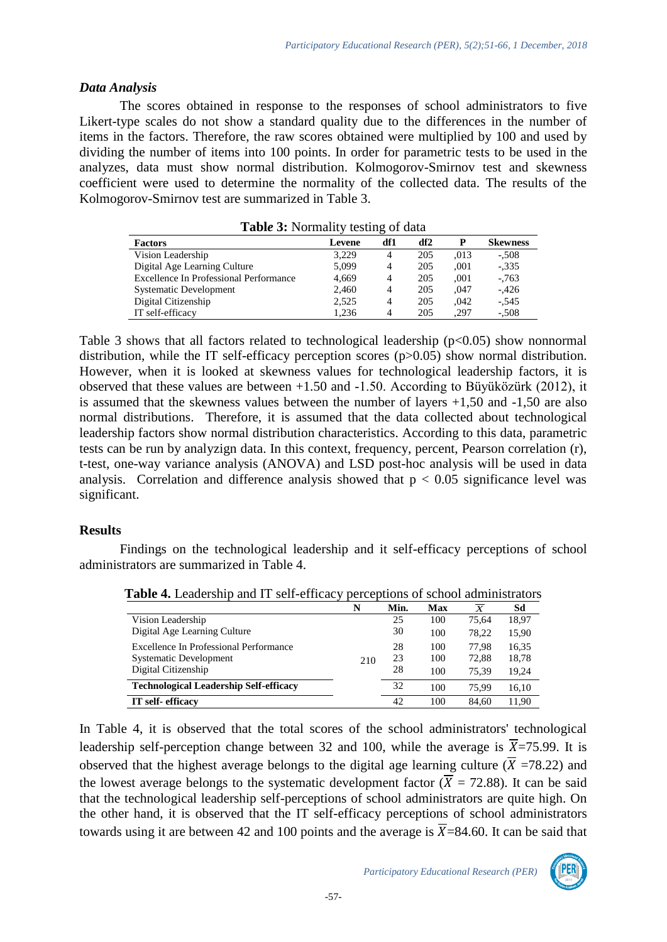## *Data Analysis*

The scores obtained in response to the responses of school administrators to five Likert-type scales do not show a standard quality due to the differences in the number of items in the factors. Therefore, the raw scores obtained were multiplied by 100 and used by dividing the number of items into 100 points. In order for parametric tests to be used in the analyzes, data must show normal distribution. Kolmogorov-Smirnov test and skewness coefficient were used to determine the normality of the collected data. The results of the Kolmogorov-Smirnov test are summarized in Table 3.

| <b>Table 5:</b> Normality testing of data |        |     |     |      |                 |  |  |  |  |
|-------------------------------------------|--------|-----|-----|------|-----------------|--|--|--|--|
| <b>Factors</b>                            | Levene | df1 | df2 | P    | <b>Skewness</b> |  |  |  |  |
| Vision Leadership                         | 3.229  | 4   | 205 | .013 | $-.508$         |  |  |  |  |
| Digital Age Learning Culture              | 5,099  | 4   | 205 | .001 | $-.335$         |  |  |  |  |
| Excellence In Professional Performance    | 4,669  | 4   | 205 | .001 | $-0.763$        |  |  |  |  |
| <b>Systematic Development</b>             | 2,460  | 4   | 205 | ,047 | $-.426$         |  |  |  |  |
| Digital Citizenship                       | 2,525  | 4   | 205 | .042 | $-.545$         |  |  |  |  |
| IT self-efficacy                          | 1.236  | 4   | 205 | .297 | $-.508$         |  |  |  |  |

**Tabl***e* **3:** Normality testing of data

Table 3 shows that all factors related to technological leadership  $(p<0.05)$  show nonnormal distribution, while the IT self-efficacy perception scores (p>0.05) show normal distribution. However, when it is looked at skewness values for technological leadership factors, it is observed that these values are between +1.50 and -1.50. According to Büyüközürk (2012), it is assumed that the skewness values between the number of layers +1,50 and -1,50 are also normal distributions. Therefore, it is assumed that the data collected about technological leadership factors show normal distribution characteristics. According to this data, parametric tests can be run by analyzign data. In this context, frequency, percent, Pearson correlation (r), t-test, one-way variance analysis (ANOVA) and LSD post-hoc analysis will be used in data analysis. Correlation and difference analysis showed that  $p < 0.05$  significance level was significant.

# **Results**

Findings on the technological leadership and it self-efficacy perceptions of school administrators are summarized in Table 4.

|                                               | N   | Min. | Max | X     | Sd    |
|-----------------------------------------------|-----|------|-----|-------|-------|
| Vision Leadership                             |     | 25   | 100 | 75.64 | 18,97 |
| Digital Age Learning Culture                  |     | 30   | 100 | 78.22 | 15.90 |
| Excellence In Professional Performance        |     | 28   | 100 | 77.98 | 16,35 |
| <b>Systematic Development</b>                 | 210 | 23   | 100 | 72.88 | 18,78 |
| Digital Citizenship                           |     | 28   | 100 | 75.39 | 19.24 |
| <b>Technological Leadership Self-efficacy</b> |     | 32   | 100 | 75.99 | 16,10 |
| IT self-efficacy                              |     | 42   | 100 | 84.60 | 11.90 |

**Table 4.** Leadership and IT self-efficacy perceptions of school administrators

In Table 4, it is observed that the total scores of the school administrators' technological leadership self-perception change between 32 and 100, while the average is  $\overline{X}$ =75.99. It is observed that the highest average belongs to the digital age learning culture ( $\overline{X}$  =78.22) and the lowest average belongs to the systematic development factor ( $\overline{X}$  = 72.88). It can be said that the technological leadership self-perceptions of school administrators are quite high. On the other hand, it is observed that the IT self-efficacy perceptions of school administrators towards using it are between 42 and 100 points and the average is  $\overline{X}$ =84.60. It can be said that

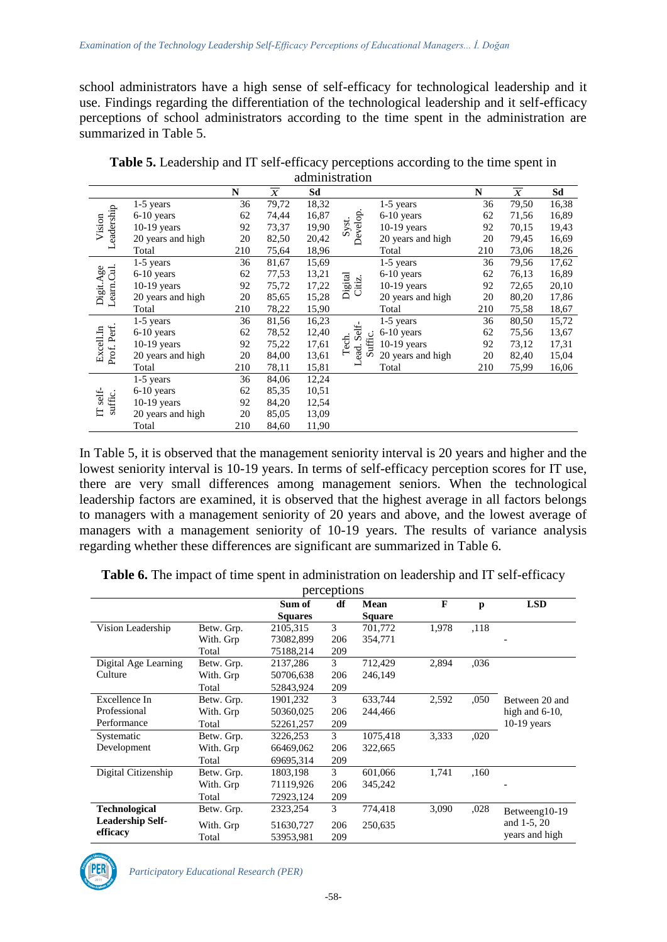school administrators have a high sense of self-efficacy for technological leadership and it use. Findings regarding the differentiation of the technological leadership and it self-efficacy perceptions of school administrators according to the time spent in the administration are summarized in Table 5.

|                          |                   |              |                           | aunninsuation |                   |                   |              |                           |       |
|--------------------------|-------------------|--------------|---------------------------|---------------|-------------------|-------------------|--------------|---------------------------|-------|
|                          |                   | N            | $\overline{\overline{X}}$ | Sd            |                   |                   | $\mathbb{N}$ | $\overline{\overline{X}}$ | Sd    |
|                          | $1-5$ years       | 36           | 79,72                     | 18,32         |                   | $1-5$ years       | 36           | 79,50                     | 16,38 |
| Leadership               | $6-10$ years      | 62           | 74,44                     | 16,87         | Develop.          | 6-10 years        | 62           | 71,56                     | 16,89 |
| Vision                   | $10-19$ years     | 92           | 73,37                     | 19,90         | Syst.             | $10-19$ years     | 92           | 70,15                     | 19,43 |
|                          | 20 years and high | 20           | 82,50                     | 20,42         |                   | 20 years and high | 20           | 79,45                     | 16,69 |
|                          | Total             | 210          | 75,64                     | 18,96         |                   | Total             | 210          | 73,06                     | 18,26 |
|                          | $1-5$ years       | 36           | 81,67                     | 15,69         |                   | $1-5$ years       | 36           | 79,56                     | 17,62 |
|                          | 6-10 years        | 62           | 77,53                     | 13,21         |                   | 6-10 years        | 62           | 76,13                     | 16,89 |
|                          | $10-19$ years     | 92           | 75,72                     | 17,22         | Digital<br>Citiz. | 10-19 years       | 92           | 72,65                     | 20,10 |
| Learn.Cul.<br>Digit.Age  | 20 years and high | 20           | 85,65                     | 15,28         |                   | 20 years and high | 20           | 80,20                     | 17,86 |
|                          | Total             | 78,22<br>210 | 15,90                     |               | Total             | 210               | 75,58        | 18,67                     |       |
|                          | $1-5$ years       | 36           | 81,56                     | 16,23         |                   | $1-5$ years       | 36           | 80,50                     | 15,72 |
|                          | 6-10 years        | 62           | 78,52                     | 12,40         | ead. Self-        | 6-10 years        | 62           | 75,56                     | 13,67 |
|                          | $10-19$ years     | 92           | 75,22                     | 17,61         | Suffic.<br>Tech.  | $10-19$ years     | 92           | 73,12                     | 17,31 |
| Prof. Perf.<br>Excell.In | 20 years and high | 20           | 84,00                     | 13,61         |                   | 20 years and high | 20           | 82,40                     | 15,04 |
|                          | Total             | 210          | 78,11                     | 15,81         |                   | Total             | 210          | 75,99                     | 16,06 |
|                          | $1-5$ years       | 36           | 84,06                     | 12,24         |                   |                   |              |                           |       |
|                          | $6-10$ years      | 62           | 85,35                     | 10,51         |                   |                   |              |                           |       |
| IT self-<br>suffic.      | $10-19$ years     | 92           | 84,20                     | 12,54         |                   |                   |              |                           |       |
| $\Box$                   | 20 years and high | 20           | 85,05                     | 13,09         |                   |                   |              |                           |       |
|                          | Total             | 210          | 84,60                     | 11,90         |                   |                   |              |                           |       |

**Table 5.** Leadership and IT self-efficacy perceptions according to the time spent in administration

In Table 5, it is observed that the management seniority interval is 20 years and higher and the lowest seniority interval is 10-19 years. In terms of self-efficacy perception scores for IT use, there are very small differences among management seniors. When the technological leadership factors are examined, it is observed that the highest average in all factors belongs to managers with a management seniority of 20 years and above, and the lowest average of managers with a management seniority of 10-19 years. The results of variance analysis regarding whether these differences are significant are summarized in Table 6.

**Table 6.** The impact of time spent in administration on leadership and IT self-efficacy

| perceptions             |            |                |     |               |       |      |                   |  |  |
|-------------------------|------------|----------------|-----|---------------|-------|------|-------------------|--|--|
|                         |            | Sum of         | df  | Mean          | F     | p    | <b>LSD</b>        |  |  |
|                         |            | <b>Squares</b> |     | <b>Square</b> |       |      |                   |  |  |
| Vision Leadership       | Betw. Grp. | 2105,315       | 3   | 701,772       | 1,978 | .118 |                   |  |  |
|                         | With. Grp  | 73082,899      | 206 | 354,771       |       |      |                   |  |  |
|                         | Total      | 75188,214      | 209 |               |       |      |                   |  |  |
| Digital Age Learning    | Betw. Grp. | 2137,286       | 3   | 712,429       | 2,894 | .036 |                   |  |  |
| Culture                 | With. Grp  | 50706,638      | 206 | 246,149       |       |      |                   |  |  |
|                         | Total      | 52843,924      | 209 |               |       |      |                   |  |  |
| Excellence In           | Betw. Grp. | 1901,232       | 3   | 633,744       | 2,592 | ,050 | Between 20 and    |  |  |
| Professional            | With. Grp  | 50360,025      | 206 | 244,466       |       |      | high and $6-10$ , |  |  |
| Performance             | Total      | 52261,257      | 209 |               |       |      | $10-19$ years     |  |  |
| Systematic              | Betw. Grp. | 3226,253       | 3   | 1075,418      | 3,333 | ,020 |                   |  |  |
| Development             | With. Grp  | 66469,062      | 206 | 322,665       |       |      |                   |  |  |
|                         | Total      | 69695,314      | 209 |               |       |      |                   |  |  |
| Digital Citizenship     | Betw. Grp. | 1803,198       | 3   | 601,066       | 1,741 | .160 |                   |  |  |
|                         | With. Grp  | 71119,926      | 206 | 345,242       |       |      |                   |  |  |
|                         | Total      | 72923,124      | 209 |               |       |      |                   |  |  |
| <b>Technological</b>    | Betw. Grp. | 2323,254       | 3   | 774,418       | 3,090 | ,028 | Betweeng10-19     |  |  |
| <b>Leadership Self-</b> | With. Grp  | 51630,727      | 206 | 250,635       |       |      | and 1-5, 20       |  |  |
| efficacy                | Total      | 53953,981      | 209 |               |       |      | years and high    |  |  |

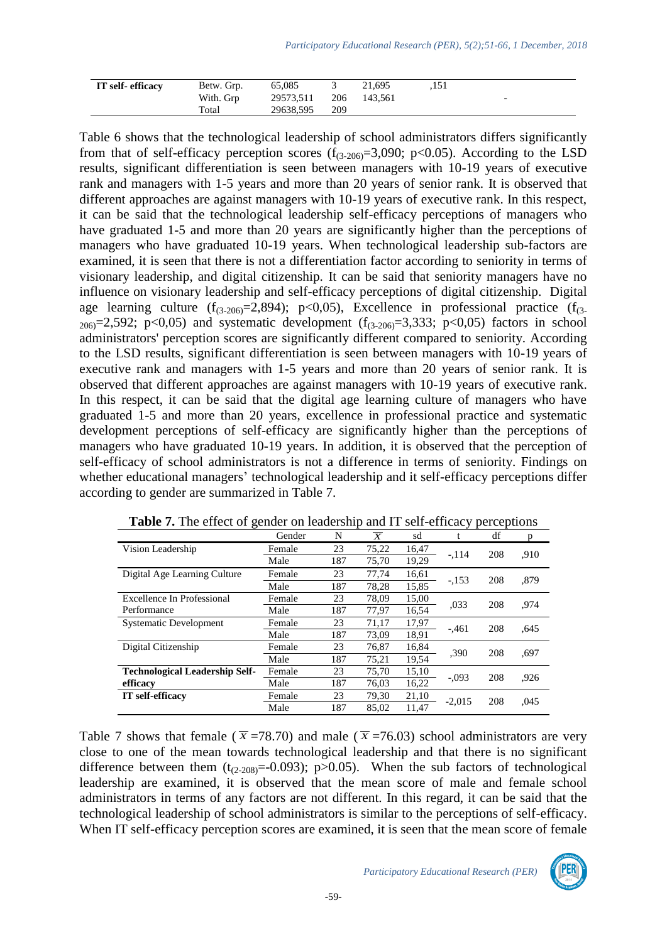| IT self-efficacy | Betw. Grp. | 65,085    |     | 21.695      | .151 |                          |
|------------------|------------|-----------|-----|-------------|------|--------------------------|
|                  | With. Grp  | 29573,511 |     | 206 143.561 |      | $\overline{\phantom{0}}$ |
|                  | Total      | 29638,595 | 209 |             |      |                          |

Table 6 shows that the technological leadership of school administrators differs significantly from that of self-efficacy perception scores  $(f_{(3-206)}=3,090; p<0.05)$ . According to the LSD results, significant differentiation is seen between managers with 10-19 years of executive rank and managers with 1-5 years and more than 20 years of senior rank. It is observed that different approaches are against managers with 10-19 years of executive rank. In this respect, it can be said that the technological leadership self-efficacy perceptions of managers who have graduated 1-5 and more than 20 years are significantly higher than the perceptions of managers who have graduated 10-19 years. When technological leadership sub-factors are examined, it is seen that there is not a differentiation factor according to seniority in terms of visionary leadership, and digital citizenship. It can be said that seniority managers have no influence on visionary leadership and self-efficacy perceptions of digital citizenship. Digital age learning culture  $(f_{(3-206)}=2,894)$ ; p<0,05), Excellence in professional practice  $(f_{(3-206)}=2,894)$ ; p<0,05), Excellence in professional practice  $(f_{(3-206)}=2,894)$ ;  $_{206}$ =2,592; p<0,05) and systematic development ( $f_{(3-206)}$ =3,333; p<0,05) factors in school administrators' perception scores are significantly different compared to seniority. According to the LSD results, significant differentiation is seen between managers with 10-19 years of executive rank and managers with 1-5 years and more than 20 years of senior rank. It is observed that different approaches are against managers with 10-19 years of executive rank. In this respect, it can be said that the digital age learning culture of managers who have graduated 1-5 and more than 20 years, excellence in professional practice and systematic development perceptions of self-efficacy are significantly higher than the perceptions of managers who have graduated 10-19 years. In addition, it is observed that the perception of self-efficacy of school administrators is not a difference in terms of seniority. Findings on whether educational managers' technological leadership and it self-efficacy perceptions differ according to gender are summarized in Table 7.

|                                       | Gender | N   | $\overline{X}$ | sd    |          | df  | p    |
|---------------------------------------|--------|-----|----------------|-------|----------|-----|------|
| Vision Leadership                     | Female | 23  | 75,22          | 16,47 | $-.114$  | 208 | .910 |
|                                       | Male   | 187 | 75,70          | 19,29 |          |     |      |
| Digital Age Learning Culture          | Female | 23  | 77.74          | 16,61 |          | 208 |      |
|                                       | Male   | 187 | 78,28          | 15,85 | $-.153$  |     | ,879 |
| Excellence In Professional            | Female | 23  | 78,09          | 15,00 | ,033     | 208 | .974 |
| Performance                           | Male   | 187 | 77,97          | 16,54 |          |     |      |
| <b>Systematic Development</b>         | Female | 23  | 71,17          | 17,97 | $-461$   | 208 | .645 |
|                                       | Male   | 187 | 73,09          | 18,91 |          |     |      |
| Digital Citizenship                   | Female | 23  | 76,87          | 16,84 | .390     | 208 | .697 |
|                                       | Male   | 187 | 75,21          | 19,54 |          |     |      |
| <b>Technological Leadership Self-</b> | Female | 23  | 75.70          | 15,10 | $-.093$  | 208 | .926 |
| efficacy                              | Male   | 187 | 76.03          | 16,22 |          |     |      |
| <b>IT</b> self-efficacy               | Female | 23  | 79,30          | 21,10 | $-2,015$ | 208 | ,045 |
|                                       | Male   | 187 | 85.02          | 11.47 |          |     |      |

| Table 7. The effect of gender on leadership and IT self-efficacy perceptions |  |  |  |
|------------------------------------------------------------------------------|--|--|--|
|------------------------------------------------------------------------------|--|--|--|

Table 7 shows that female ( $\bar{x}$  =78.70) and male ( $\bar{x}$  =76.03) school administrators are very close to one of the mean towards technological leadership and that there is no significant difference between them  $(t_{(2-208)}=-0.093)$ ; p $>0.05$ ). When the sub factors of technological leadership are examined, it is observed that the mean score of male and female school administrators in terms of any factors are not different. In this regard, it can be said that the technological leadership of school administrators is similar to the perceptions of self-efficacy. When IT self-efficacy perception scores are examined, it is seen that the mean score of female

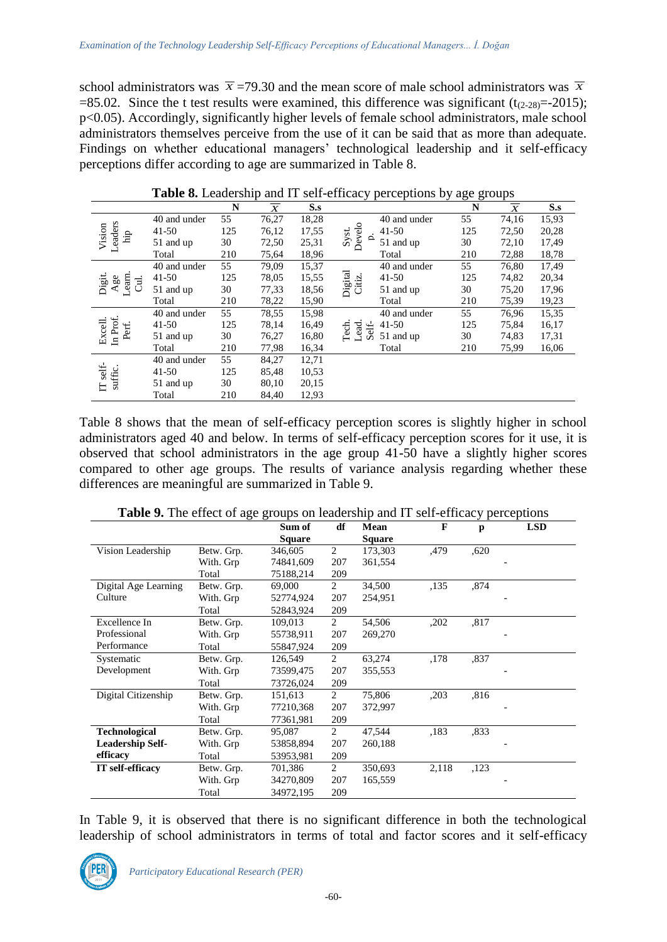school administrators was  $\bar{x}$  =79.30 and the mean score of male school administrators was  $\bar{x}$  $=85.02$ . Since the t test results were examined, this difference was significant (t<sub>(2-28)</sub> $=$ -2015); p<0.05). Accordingly, significantly higher levels of female school administrators, male school administrators themselves perceive from the use of it can be said that as more than adequate. Findings on whether educational managers' technological leadership and it self-efficacy perceptions differ according to age are summarized in Table 8.

| <b>There</b> of Behaviority and 11 set entrary perceptions by age groups |              |     |                |       |                                    |     |                |                 |
|--------------------------------------------------------------------------|--------------|-----|----------------|-------|------------------------------------|-----|----------------|-----------------|
|                                                                          |              | N   | $\overline{X}$ | S.s   |                                    | N   | $\overline{X}$ | $S_{\bullet}$ s |
|                                                                          | 40 and under | 55  | 76,27          | 18,28 | 40 and under                       | 55  | 74,16          | 15,93           |
| eaders<br>Vision<br>ЩÈ                                                   | $41 - 50$    | 125 | 76,12          | 17,55 | Develo<br>$41 - 50$                | 125 | 72,50          | 20,28           |
|                                                                          | 51 and up    | 30  | 72,50          | 25,31 | Syst.<br>$\mathbf{D}$<br>51 and up | 30  | 72,10          | 17,49           |
|                                                                          | Total        | 210 | 75,64          | 18,96 | Total                              | 210 | 72,88          | 18,78           |
|                                                                          | 40 and under | 55  | 79,09          | 15,37 | 40 and under                       | 55  | 76,80          | 17,49           |
| earn<br>Digit.<br>Age<br>E.                                              | $41 - 50$    | 125 | 78,05          | 15,55 | Digital<br>Citiz.<br>$41 - 50$     | 125 | 74,82          | 20,34           |
|                                                                          | 51 and up    | 30  | 77,33          | 18,56 | 51 and up                          | 30  | 75,20          | 17,96           |
|                                                                          | Total        | 210 | 78,22          | 15,90 | Total                              | 210 | 75,39          | 19,23           |
|                                                                          | 40 and under | 55  | 78,55          | 15,98 | 40 and under                       | 55  | 76,96          | 15,35           |
| Prof.<br>Excell.                                                         | $41 - 50$    | 125 | 78,14          | 16,49 | Tech.<br>$41 - 50$                 | 125 | 75,84          | 16,17           |
| Perf.<br>르                                                               | 51 and up    | 30  | 76,27          | 16,80 | Self-<br>Lead.<br>51 and up        | 30  | 74,83          | 17,31           |
|                                                                          | Total        | 210 | 77,98          | 16,34 | Total                              | 210 | 75,99          | 16,06           |
|                                                                          | 40 and under | 55  | 84,27          | 12,71 |                                    |     |                |                 |
| self-                                                                    | $41 - 50$    | 125 | 85,48          | 10,53 |                                    |     |                |                 |
| suffic.<br>Ë                                                             | 51 and up    | 30  | 80,10          | 20,15 |                                    |     |                |                 |
|                                                                          | Total        | 210 | 84,40          | 12,93 |                                    |     |                |                 |

**Table 8.** Leadership and IT self-efficacy perceptions by age groups

Table 8 shows that the mean of self-efficacy perception scores is slightly higher in school administrators aged 40 and below. In terms of self-efficacy perception scores for it use, it is observed that school administrators in the age group 41-50 have a slightly higher scores compared to other age groups. The results of variance analysis regarding whether these differences are meaningful are summarized in Table 9.

|                      |                    | Sum of        | df  | Mean<br><b>Square</b> | F    | p    | <b>LSD</b> |
|----------------------|--------------------|---------------|-----|-----------------------|------|------|------------|
|                      |                    | <b>Square</b> |     |                       |      |      |            |
| Vision Leadership    | Betw. Grp.         | 346,605       | 2   | 173,303               | .479 | .620 |            |
|                      | With. Grp          | 74841,609     | 207 | 361,554               |      |      |            |
|                      | Total              | 75188,214     | 209 |                       |      |      |            |
| Digital Age Learning | Betw. Grp.         | 69,000        | 2   | 34,500                | ,135 | .874 |            |
| Culture              | With. Grp          | 52774,924     | 207 | 254,951               |      |      |            |
|                      | Total              | 52843,924     | 209 |                       |      |      |            |
| Excellence In        | Betw. Grp.         | 109,013       | 2   | 54,506                | .202 | .817 |            |
| Professional         | With. Grp          | 55738,911     | 207 | 269,270               |      |      |            |
| Performance          | Total              | 55847,924     | 209 |                       |      |      |            |
| Systematic           | Betw. Grp.         | 126,549       | 2   | 63.274                | ,178 | .837 |            |
| Davalonmant          | $W^{\prime\prime}$ | 72500.475     | 207 | 25550                 |      |      |            |

**Table 9.** The effect of age groups on leadership and IT self-efficacy perceptions

Development With. Grp 73599,475 207 355,553 -Total 73726,024 209<br>Betw. Grn. 151.613 2 Digital Citizenship Betw. Grp. 151,613 2 75,806 ,203 ,816 With. Grp 77210,368 207 372,997 Total 77361,981 209 **Technological Leadership Selfefficacy** Betw. Grp. 95,087 2 47,544 ,183 ,833 With. Grp 53858,894 207 260,188 Total 53953,981 209 **IT self-efficacy** Betw. Grp. 701,386 2 350,693 2,118 ,123 With. Grp 34270,809 207 165,559 Total 34972,195 209

In Table 9, it is observed that there is no significant difference in both the technological leadership of school administrators in terms of total and factor scores and it self-efficacy

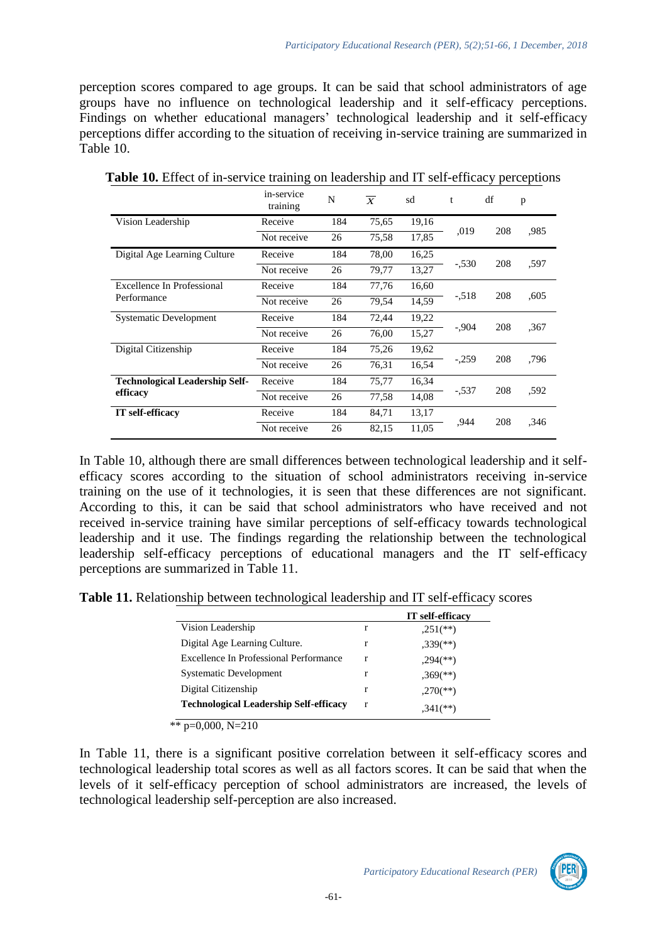perception scores compared to age groups. It can be said that school administrators of age groups have no influence on technological leadership and it self-efficacy perceptions. Findings on whether educational managers' technological leadership and it self-efficacy perceptions differ according to the situation of receiving in-service training are summarized in Table 10.

|                                       | in-service<br>training | N                    | $\overline{X}$ | sd    | t       | df             | p    |
|---------------------------------------|------------------------|----------------------|----------------|-------|---------|----------------|------|
| Vision Leadership                     | Receive                | 184                  | 75,65          | 19,16 |         |                | .985 |
|                                       | Not receive            | 26                   | 75,58          | 17,85 | ,019    | 208            |      |
| Digital Age Learning Culture          | Receive                | 184                  | 78,00          | 16,25 |         |                |      |
|                                       | Not receive            | 26                   | 79,77          | 13,27 |         | 208<br>$-.530$ | ,597 |
| Excellence In Professional            | Receive                | 184                  | 77,76          | 16,60 |         |                |      |
| Performance                           | Not receive            | 26                   | 79,54          | 14,59 |         | 208<br>$-.518$ | ,605 |
| <b>Systematic Development</b>         | Receive                | 184                  | 72,44          | 19,22 |         |                |      |
|                                       | Not receive            | 15,27<br>76,00<br>26 | $-.904$        | 208   | .367    |                |      |
| Digital Citizenship                   | Receive                | 184                  | 75,26          | 19,62 |         |                |      |
|                                       | Not receive            | 26                   | 76,31          | 16,54 | $-.259$ | 208            | .796 |
| <b>Technological Leadership Self-</b> | Receive                | 184                  | 75,77          | 16,34 |         |                | ,592 |
| efficacy                              | Not receive            | 26                   | 77,58          | 14,08 | $-537$  | 208            |      |
| <b>IT</b> self-efficacy               | Receive                | 184                  | 84,71          | 13,17 |         | 208            | ,346 |
|                                       | Not receive            | 26                   | 82,15          | 11,05 | ,944    |                |      |

**Table 10.** Effect of in-service training on leadership and IT self-efficacy perceptions

In Table 10, although there are small differences between technological leadership and it selfefficacy scores according to the situation of school administrators receiving in-service training on the use of it technologies, it is seen that these differences are not significant. According to this, it can be said that school administrators who have received and not received in-service training have similar perceptions of self-efficacy towards technological leadership and it use. The findings regarding the relationship between the technological leadership self-efficacy perceptions of educational managers and the IT self-efficacy perceptions are summarized in Table 11.

**Table 11.** Relationship between technological leadership and IT self-efficacy scores

|                                               |   | <b>IT</b> self-efficacy  |
|-----------------------------------------------|---|--------------------------|
| Vision Leadership                             | r | $,251$ (**)              |
| Digital Age Learning Culture.                 | r | $,339$ <sup>(**)</sup> ) |
| Excellence In Professional Performance        | r | $,294$ <sup>(**)</sup> ) |
| <b>Systematic Development</b>                 | r | $,369$ <sup>(**)</sup> ) |
| Digital Citizenship                           | r | $,270$ <sup>(**)</sup> ) |
| <b>Technological Leadership Self-efficacy</b> | r | $.341$ <sup>(**)</sup> ) |

\*\*  $p=0,000, N=210$ 

In Table 11, there is a significant positive correlation between it self-efficacy scores and technological leadership total scores as well as all factors scores. It can be said that when the levels of it self-efficacy perception of school administrators are increased, the levels of technological leadership self-perception are also increased.

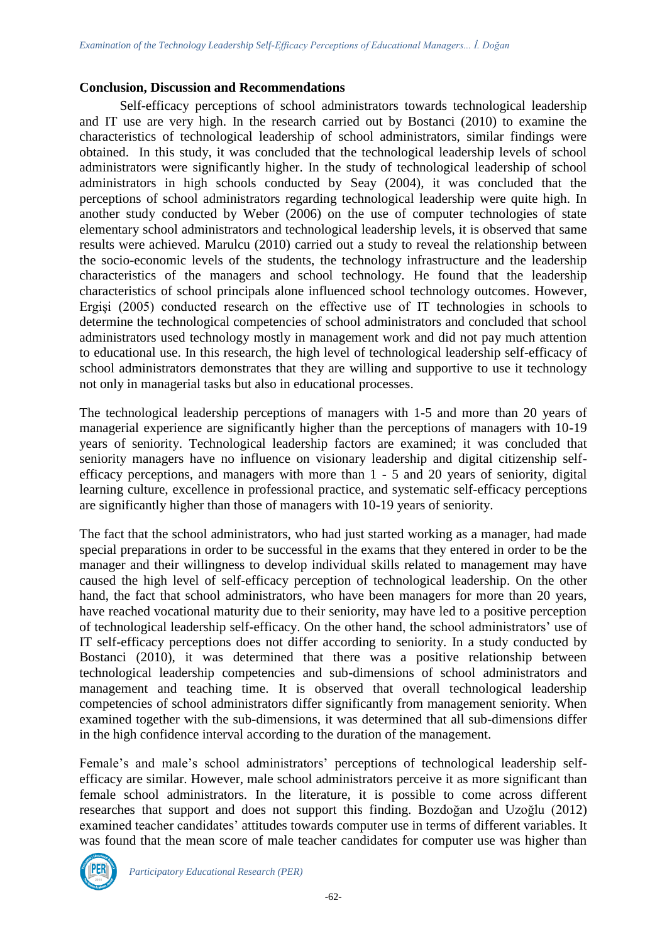#### **Conclusion, Discussion and Recommendations**

Self-efficacy perceptions of school administrators towards technological leadership and IT use are very high. In the research carried out by Bostanci (2010) to examine the characteristics of technological leadership of school administrators, similar findings were obtained. In this study, it was concluded that the technological leadership levels of school administrators were significantly higher. In the study of technological leadership of school administrators in high schools conducted by Seay (2004), it was concluded that the perceptions of school administrators regarding technological leadership were quite high. In another study conducted by Weber (2006) on the use of computer technologies of state elementary school administrators and technological leadership levels, it is observed that same results were achieved. Marulcu (2010) carried out a study to reveal the relationship between the socio-economic levels of the students, the technology infrastructure and the leadership characteristics of the managers and school technology. He found that the leadership characteristics of school principals alone influenced school technology outcomes. However, Ergişi (2005) conducted research on the effective use of IT technologies in schools to determine the technological competencies of school administrators and concluded that school administrators used technology mostly in management work and did not pay much attention to educational use. In this research, the high level of technological leadership self-efficacy of school administrators demonstrates that they are willing and supportive to use it technology not only in managerial tasks but also in educational processes.

The technological leadership perceptions of managers with 1-5 and more than 20 years of managerial experience are significantly higher than the perceptions of managers with 10-19 years of seniority. Technological leadership factors are examined; it was concluded that seniority managers have no influence on visionary leadership and digital citizenship selfefficacy perceptions, and managers with more than 1 - 5 and 20 years of seniority, digital learning culture, excellence in professional practice, and systematic self-efficacy perceptions are significantly higher than those of managers with 10-19 years of seniority.

The fact that the school administrators, who had just started working as a manager, had made special preparations in order to be successful in the exams that they entered in order to be the manager and their willingness to develop individual skills related to management may have caused the high level of self-efficacy perception of technological leadership. On the other hand, the fact that school administrators, who have been managers for more than 20 years, have reached vocational maturity due to their seniority, may have led to a positive perception of technological leadership self-efficacy. On the other hand, the school administrators' use of IT self-efficacy perceptions does not differ according to seniority. In a study conducted by Bostanci (2010), it was determined that there was a positive relationship between technological leadership competencies and sub-dimensions of school administrators and management and teaching time. It is observed that overall technological leadership competencies of school administrators differ significantly from management seniority. When examined together with the sub-dimensions, it was determined that all sub-dimensions differ in the high confidence interval according to the duration of the management.

Female's and male's school administrators' perceptions of technological leadership selfefficacy are similar. However, male school administrators perceive it as more significant than female school administrators. In the literature, it is possible to come across different researches that support and does not support this finding. Bozdoğan and Uzoğlu (2012) examined teacher candidates' attitudes towards computer use in terms of different variables. It was found that the mean score of male teacher candidates for computer use was higher than

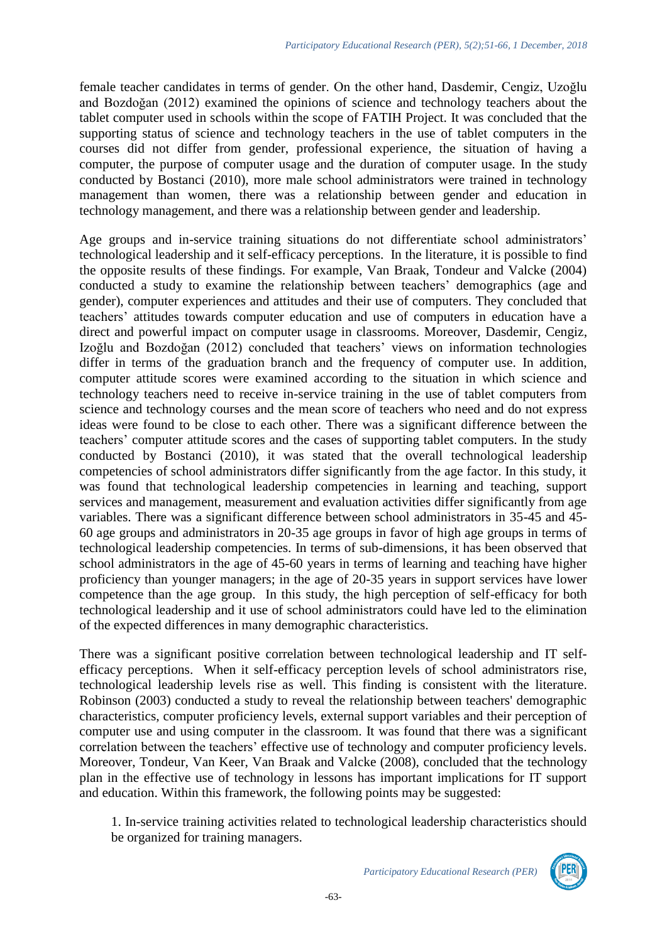female teacher candidates in terms of gender. On the other hand, Dasdemir, Cengiz, Uzoğlu and Bozdoğan (2012) examined the opinions of science and technology teachers about the tablet computer used in schools within the scope of FATIH Project. It was concluded that the supporting status of science and technology teachers in the use of tablet computers in the courses did not differ from gender, professional experience, the situation of having a computer, the purpose of computer usage and the duration of computer usage. In the study conducted by Bostanci (2010), more male school administrators were trained in technology management than women, there was a relationship between gender and education in technology management, and there was a relationship between gender and leadership.

Age groups and in-service training situations do not differentiate school administrators' technological leadership and it self-efficacy perceptions. In the literature, it is possible to find the opposite results of these findings. For example, Van Braak, Tondeur and Valcke (2004) conducted a study to examine the relationship between teachers' demographics (age and gender), computer experiences and attitudes and their use of computers. They concluded that teachers' attitudes towards computer education and use of computers in education have a direct and powerful impact on computer usage in classrooms. Moreover, Dasdemir, Cengiz, Izoğlu and Bozdoğan (2012) concluded that teachers' views on information technologies differ in terms of the graduation branch and the frequency of computer use. In addition, computer attitude scores were examined according to the situation in which science and technology teachers need to receive in-service training in the use of tablet computers from science and technology courses and the mean score of teachers who need and do not express ideas were found to be close to each other. There was a significant difference between the teachers' computer attitude scores and the cases of supporting tablet computers. In the study conducted by Bostanci (2010), it was stated that the overall technological leadership competencies of school administrators differ significantly from the age factor. In this study, it was found that technological leadership competencies in learning and teaching, support services and management, measurement and evaluation activities differ significantly from age variables. There was a significant difference between school administrators in 35-45 and 45- 60 age groups and administrators in 20-35 age groups in favor of high age groups in terms of technological leadership competencies. In terms of sub-dimensions, it has been observed that school administrators in the age of 45-60 years in terms of learning and teaching have higher proficiency than younger managers; in the age of 20-35 years in support services have lower competence than the age group. In this study, the high perception of self-efficacy for both technological leadership and it use of school administrators could have led to the elimination of the expected differences in many demographic characteristics.

There was a significant positive correlation between technological leadership and IT selfefficacy perceptions. When it self-efficacy perception levels of school administrators rise, technological leadership levels rise as well. This finding is consistent with the literature. Robinson (2003) conducted a study to reveal the relationship between teachers' demographic characteristics, computer proficiency levels, external support variables and their perception of computer use and using computer in the classroom. It was found that there was a significant correlation between the teachers' effective use of technology and computer proficiency levels. Moreover, Tondeur, Van Keer, Van Braak and Valcke (2008), concluded that the technology plan in the effective use of technology in lessons has important implications for IT support and education. Within this framework, the following points may be suggested:

1. In-service training activities related to technological leadership characteristics should be organized for training managers.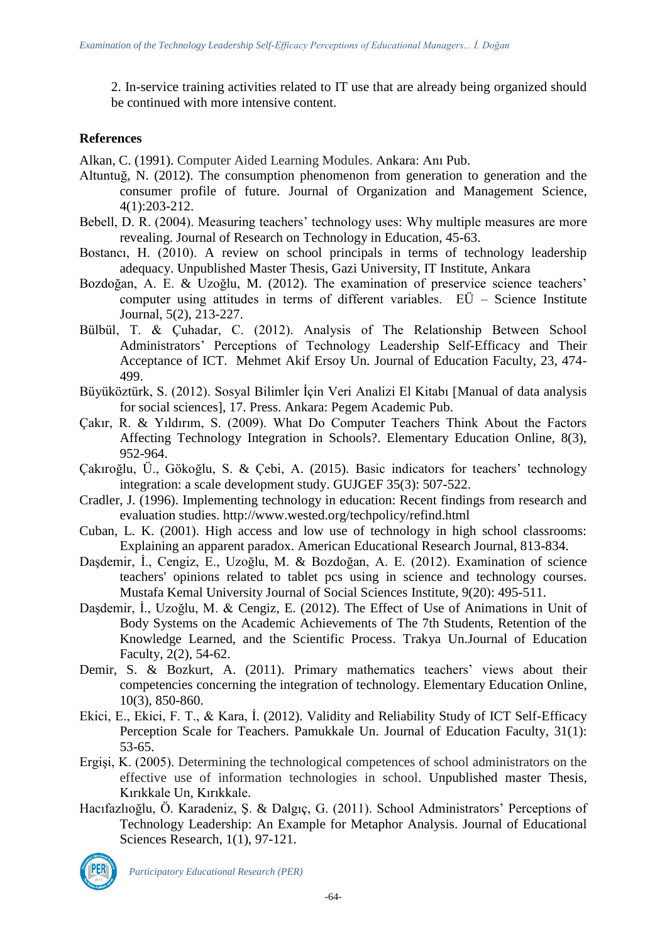2. In-service training activities related to IT use that are already being organized should be continued with more intensive content.

#### **References**

Alkan, C. (1991). Computer Aided Learning Modules. Ankara: Anı Pub.

- Altuntuğ, N. (2012). The consumption phenomenon from generation to generation and the consumer profile of future. Journal of Organization and Management Science, 4(1):203-212.
- Bebell, D. R. (2004). Measuring teachers' technology uses: Why multiple measures are more revealing. Journal of Research on Technology in Education, 45-63.
- Bostancı, H. (2010). A review on school principals in terms of technology leadership adequacy. Unpublished Master Thesis, Gazi University, IT Institute, Ankara
- Bozdoğan, A. E. & Uzoğlu, M. (2012). The examination of preservice science teachers' computer using attitudes in terms of different variables. EÜ – Science Institute Journal, 5(2), 213-227.
- Bülbül, T. & Çuhadar, C. (2012). Analysis of The Relationship Between School Administrators' Perceptions of Technology Leadership Self-Efficacy and Their Acceptance of ICT. Mehmet Akif Ersoy Un. Journal of Education Faculty, 23, 474- 499.
- Büyüköztürk, S. (2012). Sosyal Bilimler İçin Veri Analizi El Kitabı [Manual of data analysis for social sciences], 17. Press. Ankara: Pegem Academic Pub.
- Çakır, R. & Yıldırım, S. (2009). What Do Computer Teachers Think About the Factors Affecting Technology Integration in Schools?. Elementary Education Online, 8(3), 952-964.
- Çakıroğlu, Ü., Gökoğlu, S. & Çebi, A. (2015). Basic indicators for teachers' technology integration: a scale development study. GUJGEF 35(3): 507-522.
- Cradler, J. (1996). Implementing technology in education: Recent findings from research and evaluation studies. http://www.wested.org/techpolicy/refind.html
- Cuban, L. K. (2001). High access and low use of technology in high school classrooms: Explaining an apparent paradox. American Educational Research Journal, 813-834.
- Daşdemir, İ., Cengiz, E., Uzoğlu, M. & Bozdoğan, A. E. (2012). Examination of science teachers' opinions related to tablet pcs using in science and technology courses. Mustafa Kemal University Journal of Social Sciences Institute, 9(20): 495-511.
- Daşdemir, İ., Uzoğlu, M. & Cengiz, E. (2012). The Effect of Use of Animations in Unit of Body Systems on the Academic Achievements of The 7th Students, Retention of the Knowledge Learned, and the Scientific Process. Trakya Un.Journal of Education Faculty, 2(2), 54-62.
- Demir, S. & Bozkurt, A. (2011). Primary mathematics teachers' views about their competencies concerning the integration of technology. Elementary Education Online, 10(3), 850-860.
- Ekici, E., Ekici, F. T., & Kara, İ. (2012). Validity and Reliability Study of ICT Self-Efficacy Perception Scale for Teachers. Pamukkale Un. Journal of Education Faculty, 31(1): 53-65.
- Ergişi, K. (2005). Determining the technological competences of school administrators on the effective use of information technologies in school. Unpublished master Thesis, Kırıkkale Un, Kırıkkale.
- Hacıfazlıoğlu, Ö. Karadeniz, Ş. & Dalgıç, G. (2011). School Administrators' Perceptions of Technology Leadership: An Example for Metaphor Analysis. Journal of Educational Sciences Research, 1(1), 97-121.



*Participatory Educational Research (PER)*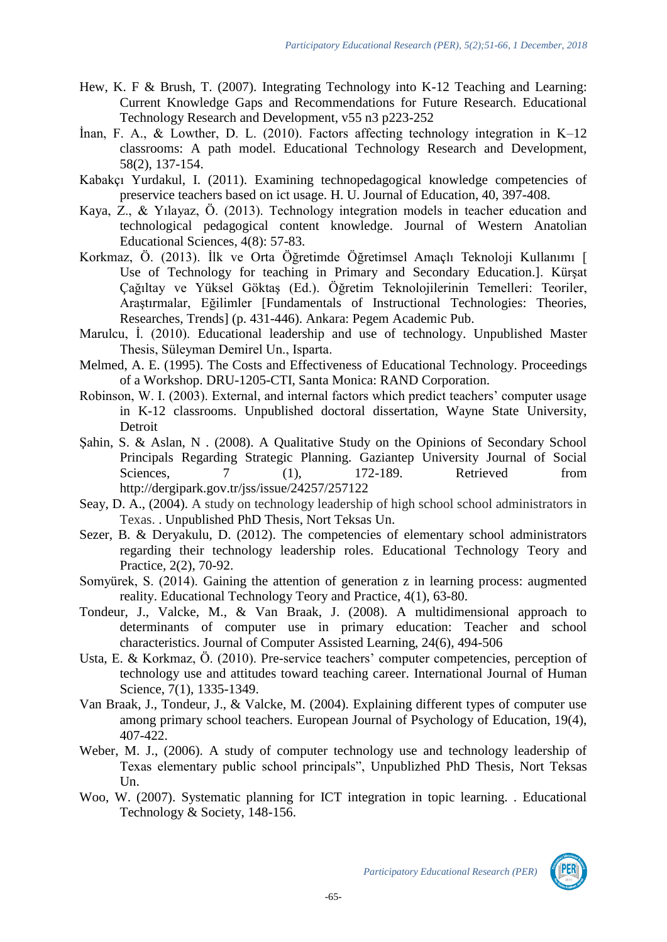- Hew, K. F & Brush, T. (2007). Integrating Technology into K-12 Teaching and Learning: Current Knowledge Gaps and Recommendations for Future Research. Educational Technology Research and Development, v55 n3 p223-252
- İnan, F. A., & Lowther, D. L. (2010). Factors affecting technology integration in K–12 classrooms: A path model. Educational Technology Research and Development, 58(2), 137-154.
- Kabakçı Yurdakul, I. (2011). Examining technopedagogical knowledge competencies of preservice teachers based on ict usage. H. U. Journal of Education, 40, 397-408.
- Kaya, Z., & Yılayaz, Ö. (2013). Technology integration models in teacher education and technological pedagogical content knowledge. Journal of Western Anatolian Educational Sciences, 4(8): 57-83.
- Korkmaz, Ö. (2013). İlk ve Orta Öğretimde Öğretimsel Amaçlı Teknoloji Kullanımı [ Use of Technology for teaching in Primary and Secondary Education.]. Kürşat Çağıltay ve Yüksel Göktaş (Ed.). Öğretim Teknolojilerinin Temelleri: Teoriler, Araştırmalar, Eğilimler [Fundamentals of Instructional Technologies: Theories, Researches, Trends] (p. 431-446). Ankara: Pegem Academic Pub.
- Marulcu, İ. (2010). Educational leadership and use of technology. Unpublished Master Thesis, Süleyman Demirel Un., Isparta.
- Melmed, A. E. (1995). The Costs and Effectiveness of Educational Technology. Proceedings of a Workshop. DRU-1205-CTI, Santa Monica: RAND Corporation.
- Robinson, W. I. (2003). External, and internal factors which predict teachers' computer usage in K-12 classrooms. Unpublished doctoral dissertation, Wayne State University, Detroit
- Şahin, S. & Aslan, N . (2008). A Qualitative Study on the Opinions of Secondary School Principals Regarding Strategic Planning. Gaziantep University Journal of Social Sciences, 7 (1), 172-189. Retrieved from http://dergipark.gov.tr/jss/issue/24257/257122
- Seay, D. A., (2004). A study on technology leadership of high school school administrators in Texas. . Unpublished PhD Thesis, Nort Teksas Un.
- Sezer, B. & Deryakulu, D. (2012). The competencies of elementary school administrators regarding their technology leadership roles. Educational Technology Teory and Practice, 2(2), 70-92.
- Somyürek, S. (2014). Gaining the attention of generation z in learning process: augmented reality. Educational Technology Teory and Practice, 4(1), 63-80.
- Tondeur, J., Valcke, M., & Van Braak, J. (2008). A multidimensional approach to determinants of computer use in primary education: Teacher and school characteristics. Journal of Computer Assisted Learning, 24(6), 494-506
- Usta, E. & Korkmaz, Ö. (2010). Pre-service teachers' computer competencies, perception of technology use and attitudes toward teaching career. International Journal of Human Science, 7(1), 1335-1349.
- Van Braak, J., Tondeur, J., & Valcke, M. (2004). Explaining different types of computer use among primary school teachers. European Journal of Psychology of Education, 19(4), 407-422.
- Weber, M. J., (2006). A study of computer technology use and technology leadership of Texas elementary public school principals", Unpublizhed PhD Thesis, Nort Teksas Un.
- Woo, W. (2007). Systematic planning for ICT integration in topic learning. . Educational Technology & Society, 148-156.